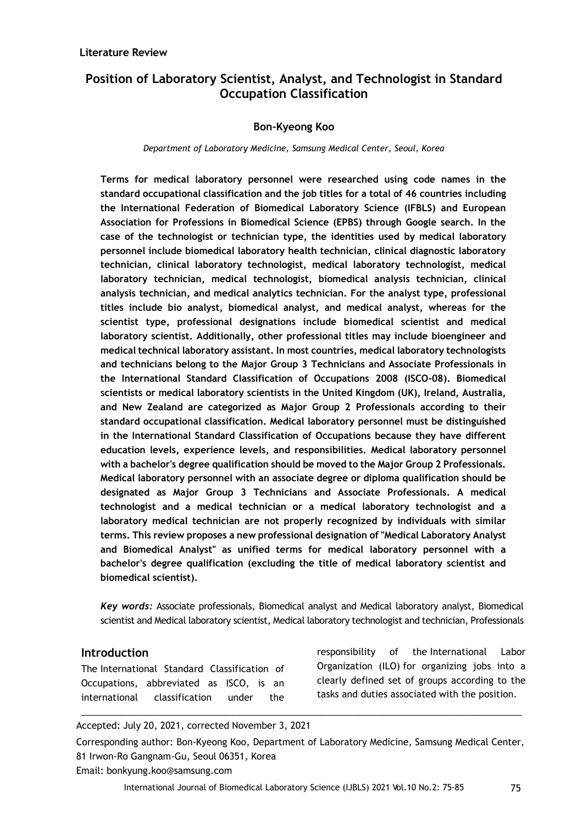#### **Literature Review**

# **Position of Laboratory Scientist, Analyst, and Technologist in Standard Occupation Classification**

### **Bon-Kyeong Koo**

#### *Department of Laboratory Medicine, Samsung Medical Center, Seoul, Korea*

**Terms for medical laboratory personnel were researched using code names in the standard occupational classification and the job titles for a total of 46 countries including the International Federation of Biomedical Laboratory Science (IFBLS) and European Association for Professions in Biomedical Science (EPBS) through Google search. In the case of the technologist or technician type, the identities used by medical laboratory personnel include biomedical laboratory health technician, clinical diagnostic laboratory technician, clinical laboratory technologist, medical laboratory technologist, medical laboratory technician, medical technologist, biomedical analysis technician, clinical analysis technician, and medical analytics technician. For the analyst type, professional titles include bio analyst, biomedical analyst, and medical analyst, whereas for the scientist type, professional designations include biomedical scientist and medical laboratory scientist. Additionally, other professional titles may include bioengineer and medical technical laboratory assistant. In most countries, medical laboratory technologists and technicians belong to the Major Group 3 Technicians and Associate Professionals in the International Standard Classification of Occupations 2008 (ISCO-08). Biomedical scientists or medical laboratory scientists in the United Kingdom (UK), Ireland, Australia, and New Zealand are categorized as Major Group 2 Professionals according to their standard occupational classification. Medical laboratory personnel must be distinguished in the International Standard Classification of Occupations because they have different education levels, experience levels, and responsibilities. Medical laboratory personnel with a bachelor's degree qualification should be moved to the Major Group 2 Professionals. Medical laboratory personnel with an associate degree or diploma qualification should be designated as Major Group 3 Technicians and Associate Professionals. A medical technologist and a medical technician or a medical laboratory technologist and a laboratory medical technician are not properly recognized by individuals with similar terms. This review proposes a new professional designation of "Medical Laboratory Analyst and Biomedical Analyst" as unified terms for medical laboratory personnel with a bachelor's degree qualification (excluding the title of medical laboratory scientist and biomedical scientist).**

*Key words:* Associate professionals, Biomedical analyst and Medical laboratory analyst, Biomedical scientist and Medical laboratory scientist, Medical laboratory technologist and technician, Professionals

#### **Introduction**

The International Standard Classification of Occupations, abbreviated as ISCO, is an international classification under the

responsibility of the International Labor Organization (ILO) for organizing jobs into a clearly defined set of groups according to the tasks and duties associated with the position.

Accepted: July 20, 2021, corrected November 3, 2021

Corresponding author: Bon-Kyeong Koo, Department of Laboratory Medicine, Samsung Medical Center, 81 Irwon-Ro Gangnam-Gu, Seoul 06351, Korea Email: bonkyung.koo@samsung.com

\_\_\_\_\_\_\_\_\_\_\_\_\_\_\_\_\_\_\_\_\_\_\_\_\_\_\_\_\_\_\_\_\_\_\_\_\_\_\_\_\_\_\_\_\_\_\_\_\_\_\_\_\_\_\_\_\_\_\_\_\_\_\_\_\_\_\_\_\_\_\_\_\_\_\_\_\_\_\_\_\_\_\_\_\_\_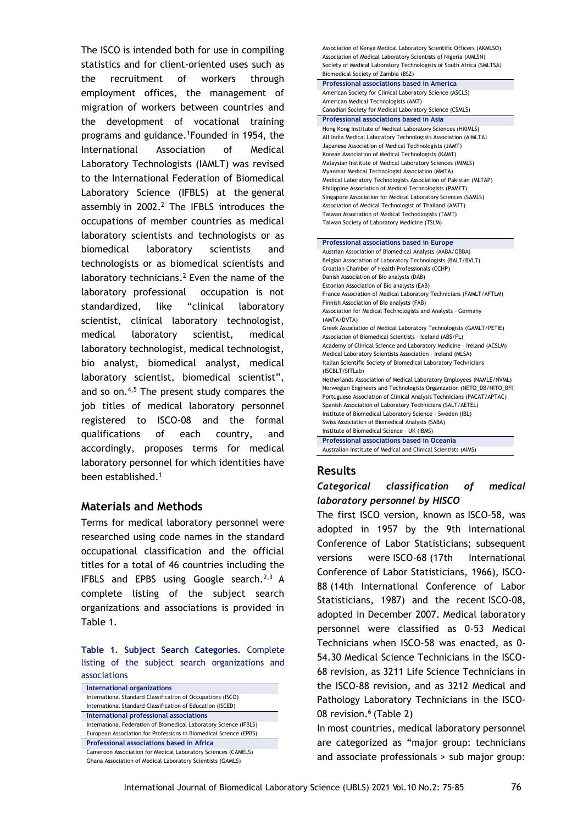The ISCO is intended both for use in compiling statistics and for client-oriented uses such as the recruitment of workers through employment offices, the management of migration of workers between countries and the development of vocational training programs and guidance.<sup>1</sup>Founded in 1954, the International Association of Medical Laboratory Technologists (IAMLT) was revised to the International Federation of Biomedical Laboratory Science (IFBLS) at the general assembly in  $2002.<sup>2</sup>$  The IFBLS introduces the occupations of member countries as medical laboratory scientists and technologists or as biomedical laboratory scientists and technologists or as biomedical scientists and laboratory technicians.<sup>2</sup> Even the name of the laboratory professional occupation is not standardized, like "clinical laboratory scientist, clinical laboratory technologist, medical laboratory scientist, medical laboratory technologist, medical technologist, bio analyst, biomedical analyst, medical laboratory scientist, biomedical scientist", and so on. $4,5$  The present study compares the job titles of medical laboratory personnel registered to ISCO-08 and the formal qualifications of each country, and accordingly, proposes terms for medical laboratory personnel for which identities have been established.<sup>1</sup>

### **Materials and Methods**

Terms for medical laboratory personnel were researched using code names in the standard occupational classification and the official titles for a total of 46 countries including the IFBLS and EPBS using Google search. $2,3$  A complete listing of the subject search organizations and associations is provided in Table 1.

**Table 1. Subject Search Categories.** Complete listing of the subject search organizations and associations

| International organizations                                       |
|-------------------------------------------------------------------|
| International Standard Classification of Occupations (ISCO)       |
| International Standard Classification of Education (ISCED)        |
| International professional associations                           |
| International Federation of Biomedical Laboratory Science (IFBLS) |
| European Association for Professions in Biomedical Science (EPBS) |
| Professional associations based in Africa                         |
| Cameroon Association for Medical Laboratory Sciences (CAMELS)     |
| Ghana Association of Medical Laboratory Scientists (GAMLS)        |

Association of Kenya Medical Laboratory Scientific Officers (AKMLSO) Association of Medical Laboratory Scientists of Nigeria (AMLSN) Society of Medical Laboratory Technologists of South Africa (SMLTSA)

| Biomedical Society of Zambia (BSZ)                                    |
|-----------------------------------------------------------------------|
| Professional associations based in America                            |
| American Society for Clinical Laboratory Science (ASCLS)              |
| American Medical Technologists (AMT)                                  |
| Canadian Society for Medical Laboratory Science (CSMLS)               |
| Professional associations based in Asia                               |
| Hong Kong Institute of Medical Laboratory Sciences (HKIMLS)           |
| All India Medical Laboratory Technologists Association (AIMLTA)       |
| Japanese Association of Medical Technologists (JAMT)                  |
| Korean Association of Medical Technologists (KAMT)                    |
| Malaysian Institute of Medical Laboratory Sciences (MIMLS)            |
| Myanmar Medical Technologist Association (MMTA)                       |
| Medical Laboratory Technologists Association of Pakistan (MLTAP)      |
| Philippine Association of Medical Technologists (PAMET)               |
| Singapore Association for Medical Laboratory Sciences (SAMLS)         |
| Association of Medical Technologist of Thailand (AMTT)                |
| Taiwan Association of Medical Technologists (TAMT)                    |
| Taiwan Society of Laboratory Medicine (TSLM)                          |
|                                                                       |
| Professional associations based in Europe                             |
| Austrian Association of Biomedical Analysts (AABA/OBBA)               |
| Belgian Association of Laboratory Technologists (BALT/BVLT)           |
| Croatian Chamber of Health Professionals (CCHP)                       |
| Danish Association of Bio analysts (DAB)                              |
| Estonian Association of Bio analysts (EAB)                            |
| France Association of Medical Laboratory Technicians (FAMLT/AFTLM)    |
| Finnish Association of Bio analysts (FAB)                             |
| Association for Medical Technologists and Analysts - Germany          |
| (AMTA/DVTA)                                                           |
| Greek Association of Medical Laboratory Technologists (GAMLT/PETIE)   |
| Association of Biomedical Scientists - Iceland (ABS/FL)               |
| Academy of Clinical Science and Laboratory Medicine - Ireland (ACSLM) |
| Medical Laboratory Scientists Association - Ireland (MLSA)            |
| Italian Scientific Society of Biomedical Laboratory Technicians       |
| (ISCBLT/SITLab)                                                       |
| Netherlands Association of Medical Laboratory Employees (NAMLE/NVML)  |
| Norwegian Engineers and Technologists Organization (NETO_DB/NITO_BFI) |
| Portuguese Association of Clinical Analysis Technicians (PACAT/APTAC) |
| Spanish Association of Laboratory Technicians (SALT/AETEL)            |
| Institute of Biomedical Laboratory Science - Sweden (IBL)             |
| Swiss Association of Biomedical Analysts (SABA)                       |
| Institute of Biomedical Science - UK (IBMS)                           |
| Professional associations based in Oceania                            |

Australian Institute of Medical and Clinical Scientists (AIMS)

# **Results**

# *Categorical classification of medical laboratory personnel by HISCO*

The first ISCO version, known as ISCO-58, was adopted in 1957 by the 9th International Conference of Labor Statisticians; subsequent versions were ISCO-68 (17th International Conference of Labor Statisticians, 1966), ISCO-88 (14th International Conference of Labor Statisticians, 1987) and the recent ISCO-08, adopted in December 2007. Medical laboratory personnel were classified as 0-53 Medical Technicians when ISCO-58 was enacted, as 0- 54.30 Medical Science Technicians in the ISCO-68 revision, as 3211 Life Science Technicians in the ISCO-88 revision, and as 3212 Medical and Pathology Laboratory Technicians in the ISCO-08 revision.<sup>6</sup> (Table 2)

In most countries, medical laboratory personnel are categorized as "major group: technicians and associate professionals > sub major group: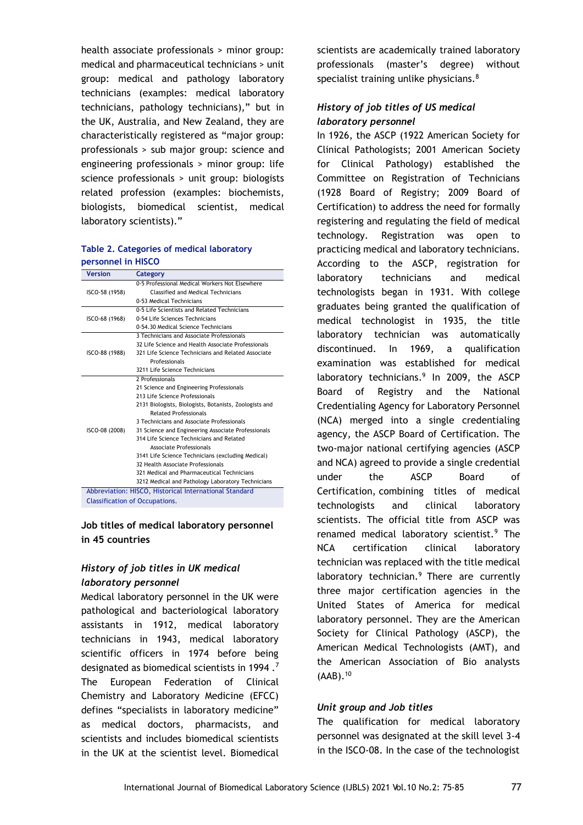health associate professionals > minor group: medical and pharmaceutical technicians > unit group: medical and pathology laboratory technicians (examples: medical laboratory technicians, pathology technicians)," but in the UK, Australia, and New Zealand, they are characteristically registered as "major group: professionals > sub major group: science and engineering professionals > minor group: life science professionals > unit group: biologists related profession (examples: biochemists, biologists, biomedical scientist, medical laboratory scientists)."

#### **Table 2. Categories of medical laboratory personnel in HISCO**

| <b>Version</b> | Category                                               |
|----------------|--------------------------------------------------------|
|                | 0-5 Professional Medical Workers Not Elsewhere         |
| ISCO-58 (1958) | Classified and Medical Technicians                     |
|                | 0-53 Medical Technicians                               |
|                | 0-5 Life Scientists and Related Technicians            |
| ISCO-68 (1968) | 0-54 Life Sciences Technicians                         |
|                | 0-54.30 Medical Science Technicians                    |
|                | 3 Technicians and Associate Professionals              |
|                | 32 Life Science and Health Associate Professionals     |
| ISCO-88 (1988) | 321 Life Science Technicians and Related Associate     |
|                | Professionals                                          |
|                | 3211 Life Science Technicians                          |
|                | 2 Professionals                                        |
|                | 21 Science and Engineering Professionals               |
|                | 213 Life Science Professionals                         |
|                | 2131 Biologists, Biologists, Botanists, Zoologists and |
|                | <b>Related Professionals</b>                           |
|                | 3 Technicians and Associate Professionals              |
| ISCO-08 (2008) | 31 Science and Engineering Associate Professionals     |
|                | 314 Life Science Technicians and Related               |
|                | Associate Professionals                                |
|                | 3141 Life Science Technicians (excluding Medical)      |
|                | 32 Health Associate Professionals                      |
|                | 321 Medical and Pharmaceutical Technicians             |
|                | 3212 Medical and Pathology Laboratory Technicians      |
|                | Abbreviation: HISCO, Historical International Standard |
|                |                                                        |

Classification of Occupations.

#### **Job titles of medical laboratory personnel in 45 countries**

# *History of job titles in UK medical laboratory personnel*

Medical laboratory personnel in the UK were pathological and bacteriological laboratory assistants in 1912, medical laboratory technicians in 1943, medical laboratory scientific officers in 1974 before being designated as biomedical scientists in 1994 .<sup>7</sup> The European Federation of Clinical Chemistry and Laboratory Medicine (EFCC) defines "specialists in laboratory medicine" as medical doctors, pharmacists, and scientists and includes biomedical scientists in the UK at the scientist level. Biomedical

scientists are academically trained laboratory professionals (master's degree) without specialist training unlike physicians.<sup>8</sup>

# *History of job titles of US medical laboratory personnel*

In 1926, the ASCP (1922 American Society for Clinical Pathologists; 2001 American Society for Clinical Pathology) established the Committee on Registration of Technicians (1928 Board of Registry; 2009 Board of Certification) to address the need for formally registering and regulating the field of medical technology. Registration was open to practicing medical and laboratory technicians. According to the ASCP, registration for laboratory technicians and medical technologists began in 1931. With college graduates being granted the qualification of medical technologist in 1935, the title laboratory technician was automatically discontinued. In 1969, a qualification examination was established for medical laboratory technicians.<sup>9</sup> In 2009, the ASCP Board of Registry and the National Credentialing Agency for Laboratory Personnel (NCA) merged into a single credentialing agency, the ASCP Board of Certification. The two-major national certifying agencies (ASCP and NCA) agreed to provide a single credential under the ASCP Board of Certification, combining titles of medical technologists and clinical laboratory scientists. The official title from ASCP was renamed medical laboratory scientist.<sup>9</sup> The NCA certification clinical laboratory technician was replaced with the title medical laboratory technician. $9$  There are currently three major certification agencies in the United States of America for medical laboratory personnel. They are the American Society for Clinical Pathology (ASCP), the American Medical Technologists (AMT), and the American Association of Bio analysts  $(AAB).<sup>10</sup>$ 

### *Unit group and Job titles*

The qualification for medical laboratory personnel was designated at the skill level 3-4 in the ISCO-08. In the case of the technologist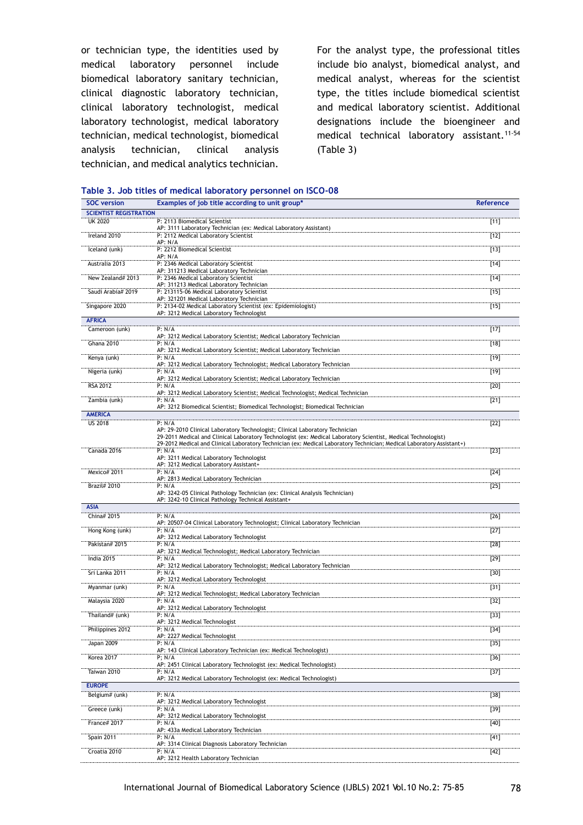or technician type, the identities used by medical laboratory personnel include biomedical laboratory sanitary technician, clinical diagnostic laboratory technician, clinical laboratory technologist, medical laboratory technologist, medical laboratory technician, medical technologist, biomedical analysis technician, clinical analysis technician, and medical analytics technician.

For the analyst type, the professional titles include bio analyst, biomedical analyst, and medical analyst, whereas for the scientist type, the titles include biomedical scientist and medical laboratory scientist. Additional designations include the bioengineer and medical technical laboratory assistant.<sup>11-54</sup> (Table 3)

| <b>SOC</b> version            | Examples of job title according to unit group*                                                                                  | Reference        |
|-------------------------------|---------------------------------------------------------------------------------------------------------------------------------|------------------|
| <b>SCIENTIST REGISTRATION</b> |                                                                                                                                 |                  |
| <b>UK 2020</b>                | P: 2113 Biomedical Scientist<br>AP: 3111 Laboratory Technician (ex: Medical Laboratory Assistant)                               | $[11]$           |
| Ireland 2010                  | P: 2112 Medical Laboratory Scientist                                                                                            | $[12]$           |
| Iceland (unk)                 | AP: N/A<br>P: 2212 Biomedical Scientist                                                                                         | $[13]$           |
|                               | AP: N/A                                                                                                                         |                  |
| Australia 2013                | P: 2346 Medical Laboratory Scientist<br>AP: 311213 Medical Laboratory Technician                                                | $[14]$           |
| New Zealand# 2013             | P: 2346 Medical Laboratory Scientist<br>AP: 311213 Medical Laboratory Technician                                                | $[14]$           |
| Saudi Arabia# 2019            | P: 213115-06 Medical Laboratory Scientist<br>AP: 321201 Medical Laboratory Technician                                           | $[15]$           |
| Singapore 2020                | P: 2134-02 Medical Laboratory Scientist (ex: Epidemiologist)                                                                    | $[15]$           |
| <b>AFRICA</b>                 | AP: 3212 Medical Laboratory Technologist                                                                                        |                  |
| Cameroon (unk)                | P: N/A                                                                                                                          | $[17]$           |
|                               | AP: 3212 Medical Laboratory Scientist; Medical Laboratory Technician                                                            |                  |
| Ghana 2010                    | P: N/A<br>AP: 3212 Medical Laboratory Scientist; Medical Laboratory Technician                                                  | $[18]$           |
| Kenya (unk)                   | P: N/A<br>AP: 3212 Medical Laboratory Technologist; Medical Laboratory Technician                                               | $[19]$           |
| Nigeria (unk)                 | P: N/A                                                                                                                          | $[19]$           |
| <b>RSA 2012</b>               | AP: 3212 Medical Laboratory Scientist; Medical Laboratory Technician<br>P: N/A                                                  | $[20]$           |
| Zambia (unk)                  | AP: 3212 Medical Laboratory Scientist; Medical Technologist; Medical Technician                                                 |                  |
|                               | P: N/A<br>AP: 3212 Biomedical Scientist; Biomedical Technologist; Biomedical Technician                                         | $[21]$           |
| <b>AMERICA</b>                |                                                                                                                                 |                  |
| <b>US 2018</b>                | P: N/A<br>AP: 29-2010 Clinical Laboratory Technologist; Clinical Laboratory Technician                                          | $[22]$           |
|                               | 29-2011 Medical and Clinical Laboratory Technologist (ex: Medical Laboratory Scientist, Medical Technologist)                   |                  |
| Canada 2016                   | 29-2012 Medical and Clinical Laboratory Technician (ex: Medical Laboratory Technician; Medical Laboratory Assistant+)<br>P: N/A | $[23]$           |
|                               | AP: 3211 Medical Laboratory Technologist                                                                                        |                  |
| Mexico# 2011                  | AP: 3212 Medical Laboratory Assistant+<br>P: N/A                                                                                | $[24]$           |
|                               | AP: 2813 Medical Laboratory Technician                                                                                          |                  |
| <b>Brazil# 2010</b>           | P: N/A<br>AP: 3242-05 Clinical Pathology Technician (ex: Clinical Analysis Technician)                                          | $[25]$           |
| <b>ASIA</b>                   | AP: 3242-10 Clinical Pathology Technical Assistant+                                                                             |                  |
| China# 2015                   | P: N/A                                                                                                                          | $[26]$           |
| Hong Kong (unk)               | AP: 20507-04 Clinical Laboratory Technologist; Clinical Laboratory Technician<br>P: N/A                                         | $[27]$           |
|                               | AP: 3212 Medical Laboratory Technologist                                                                                        |                  |
| Pakistan# 2015                | P: N/A<br>AP: 3212 Medical Technologist; Medical Laboratory Technician                                                          | $[28]$           |
| India 2015                    | P: N/A<br>AP: 3212 Medical Laboratory Technologist; Medical Laboratory Technician                                               | $[29]$           |
| Sri Lanka 2011                | P: N/A                                                                                                                          | $[30]$           |
| Myanmar (unk)                 | AP: 3212 Medical Laboratory Technologist<br>P: N/A                                                                              | $[31]$           |
|                               | AP: 3212 Medical Technologist; Medical Laboratory Technician                                                                    |                  |
| Malaysia 2020                 | P: N/A<br>AP: 3212 Medical Laboratory Technologist                                                                              | $\overline{132}$ |
| Thailand# (unk)               | P: N/A<br>AP: 3212 Medical Technologist                                                                                         | $[33]$           |
| Philippines 2012              | P: N/A                                                                                                                          | $[34]$           |
| Japan 2009                    | AP: 2227 Medical Technologist<br>P: N/A                                                                                         | $[35]$           |
|                               | AP: 143 Clinical Laboratory Technician (ex: Medical Technologist)                                                               |                  |
| Korea 2017                    | $P$ ; N/A<br>AP: 2451 Clinical Laboratory Technologist (ex: Medical Technologist)                                               | $[36]$           |
| Taiwan 2010                   | P: N/A<br>AP: 3212 Medical Laboratory Technologist (ex: Medical Technologist)                                                   | $[37]$           |
| <b>EUROPE</b>                 |                                                                                                                                 |                  |
| Belgium# (unk)                | P: N/A                                                                                                                          | $[38]$           |
| Greece (unk)                  | AP: 3212 Medical Laboratory Technologist<br>P: N/A                                                                              | $[39]$           |
| <b>France# 2017</b>           | AP: 3212 Medical Laboratory Technologist<br>P: N/A                                                                              | $[40]$           |
|                               | AP: 433a Medical Laboratory Technician                                                                                          |                  |
| Spain 2011                    | P: N/A<br>AP: 3314 Clinical Diagnosis Laboratory Technician                                                                     | $[41]$           |
| Croatia 2010                  | P: N/A                                                                                                                          | $[42]$           |
|                               | AP: 3212 Health Laboratory Technician                                                                                           |                  |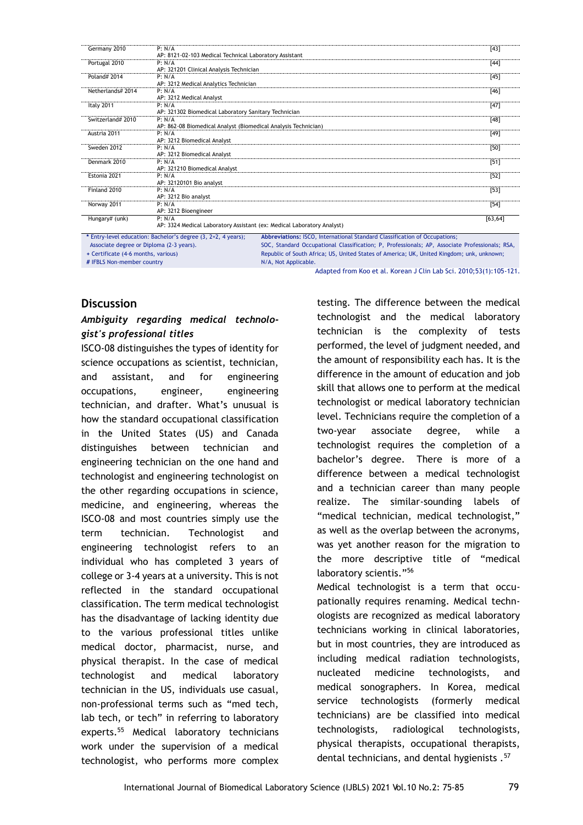| Germany 2010      | P: N/A<br>AP: 8121-02-103 Medical Technical Laboratory Assistant       | $[43]$   |
|-------------------|------------------------------------------------------------------------|----------|
| Portugal 2010     | P: N/A                                                                 | $[44]$   |
|                   | AP: 321201 Clinical Analysis Technician                                |          |
| Poland# 2014      | P: N/A                                                                 | $[45]$   |
|                   | AP: 3212 Medical Analytics Technician                                  |          |
| Netherlands# 2014 | P: N/A                                                                 | [46]     |
|                   | AP: 3212 Medical Analyst                                               |          |
| Italy 2011        | P: N/A                                                                 | $[47]$   |
|                   | AP: 321302 Biomedical Laboratory Sanitary Technician                   |          |
| Switzerland# 2010 | P: N/A                                                                 | $[48]$   |
|                   | AP: 862-08 Biomedical Analyst (Biomedical Analysis Technician)         |          |
| Austria 2011      | P: N/A                                                                 | $[49]$   |
|                   | AP: 3212 Biomedical Analyst                                            |          |
| Sweden 2012       | P: N/A                                                                 | $[50]$   |
|                   | AP: 3212 Biomedical Analyst                                            |          |
| Denmark 2010      | P: N/A                                                                 | $[51]$   |
|                   | AP: 321210 Biomedical Analyst                                          |          |
| Estonia 2021      | P: N/A                                                                 | $[52]$   |
|                   | AP: 32120101 Bio analyst                                               |          |
| Finland 2010      | P: N/A                                                                 | $[53]$   |
|                   | AP: 3212 Bio analyst                                                   |          |
| Norway 2011       | P: N/A                                                                 | $[54]$   |
|                   | AP: 3212 Bioengineer                                                   |          |
| Hungary# (unk)    | P: N/A                                                                 | [63, 64] |
|                   | AP: 3324 Medical Laboratory Assistant (ex: Medical Laboratory Analyst) |          |

 Associate degree or Diploma (2-3 years). **+** Certificate (4-6 months, various) **#** IFBLS Non-member country SOC, Standard Occupational Classification; P, Professionals; AP, Associate Professionals; RSA, Republic of South Africa; US, United States of America; UK, United Kingdom; unk, unknown; N/A, Not Applicable.

Adapted from Koo et al. Korean J Clin Lab Sci. 2010;53(1):105-121.

#### **Discussion**

# *Ambiguity regarding medical technologist's professional titles*

ISCO-08 distinguishes the types of identity for science occupations as scientist, technician, and assistant, and for engineering occupations, engineer, engineering technician, and drafter. What's unusual is how the standard occupational classification in the United States (US) and Canada distinguishes between technician and engineering technician on the one hand and technologist and engineering technologist on the other regarding occupations in science, medicine, and engineering, whereas the ISCO-08 and most countries simply use the term technician. Technologist and engineering technologist refers to an individual who has completed 3 years of college or 3-4 years at a university. This is not reflected in the standard occupational classification. The term medical technologist has the disadvantage of lacking identity due to the various professional titles unlike medical doctor, pharmacist, nurse, and physical therapist. In the case of medical technologist and medical laboratory technician in the US, individuals use casual, non-professional terms such as "med tech, lab tech, or tech" in referring to laboratory experts.<sup>55</sup> Medical laboratory technicians work under the supervision of a medical technologist, who performs more complex

testing. The difference between the medical technologist and the medical laboratory technician is the complexity of tests performed, the level of judgment needed, and the amount of responsibility each has. It is the difference in the amount of education and job skill that allows one to perform at the medical technologist or medical laboratory technician level. Technicians require the completion of a two-year associate degree, while a technologist requires the completion of a bachelor's degree. There is more of a difference between a medical technologist and a technician career than many people realize. The similar-sounding labels of "medical technician, medical technologist," as well as the overlap between the acronyms, was yet another reason for the migration to the more descriptive title of "medical laboratory scientis."<sup>56</sup> Medical technologist is a term that occupationally requires renaming. Medical technologists are recognized as medical laboratory

technicians working in clinical laboratories, but in most countries, they are introduced as including medical radiation technologists, nucleated medicine technologists, and medical sonographers. In Korea, medical service technologists (formerly medical technicians) are be classified into medical technologists, radiological technologists, physical therapists, occupational therapists, dental technicians, and dental hygienists .<sup>57</sup>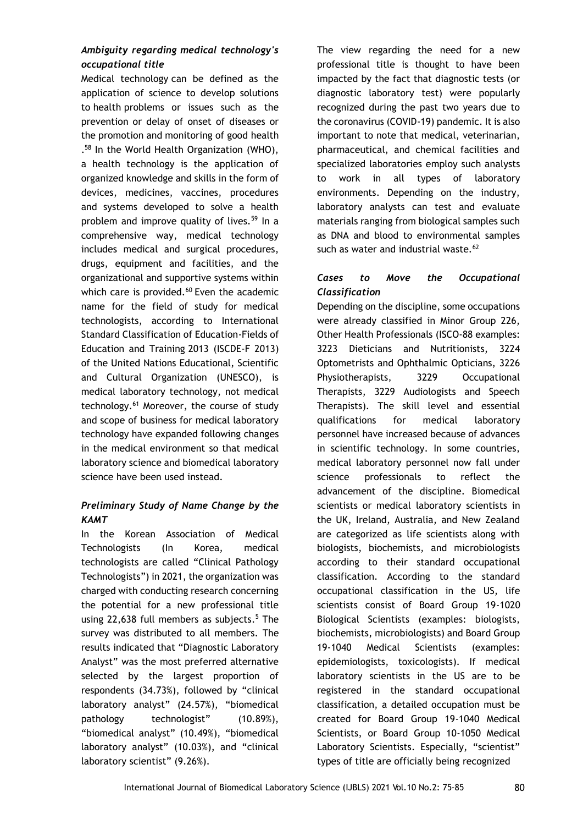# *Ambiguity regarding medical technology's occupational title*

Medical technology can be defined as the application of science to develop solutions to health problems or issues such as the prevention or delay of onset of diseases or the promotion and monitoring of good health . <sup>58</sup> In the World Health Organization (WHO), a health technology is the application of organized knowledge and skills in the form of devices, medicines, vaccines, procedures and systems developed to solve a health problem and improve quality of lives.<sup>59</sup> In a comprehensive way, medical technology includes medical and surgical procedures, drugs, equipment and facilities, and the organizational and supportive systems within which care is provided. $60$  Even the academic name for the field of study for medical technologists, according to International Standard Classification of Education-Fields of Education and Training 2013 (ISCDE-F 2013) of the United Nations Educational, Scientific and Cultural Organization (UNESCO), is medical laboratory technology, not medical technology.<sup>61</sup> Moreover, the course of study and scope of business for medical laboratory technology have expanded following changes in the medical environment so that medical laboratory science and biomedical laboratory science have been used instead.

# *Preliminary Study of Name Change by the KAMT*

In the Korean Association of Medical Technologists (In Korea, medical technologists are called "Clinical Pathology Technologists") in 2021, the organization was charged with conducting research concerning the potential for a new professional title using 22,638 full members as subjects. $5$  The survey was distributed to all members. The results indicated that "Diagnostic Laboratory Analyst" was the most preferred alternative selected by the largest proportion of respondents (34.73%), followed by "clinical laboratory analyst" (24.57%), "biomedical pathology technologist" (10.89%), "biomedical analyst" (10.49%), "biomedical laboratory analyst" (10.03%), and "clinical laboratory scientist" (9.26%).

The view regarding the need for a new professional title is thought to have been impacted by the fact that diagnostic tests (or diagnostic laboratory test) were popularly recognized during the past two years due to the coronavirus (COVID-19) pandemic. It is also important to note that medical, veterinarian, pharmaceutical, and chemical facilities and specialized laboratories employ such analysts to work in all types of laboratory environments. Depending on the industry, laboratory analysts can test and evaluate materials ranging from biological samples such as DNA and blood to environmental samples such as water and industrial waste. $62$ 

# *Cases to Move the Occupational Classification*

Depending on the discipline, some occupations were already classified in Minor Group 226, Other Health Professionals (ISCO-88 examples: 3223 Dieticians and Nutritionists, 3224 Optometrists and Ophthalmic Opticians, 3226 Physiotherapists, 3229 Occupational Therapists, 3229 Audiologists and Speech Therapists). The skill level and essential qualifications for medical laboratory personnel have increased because of advances in scientific technology. In some countries, medical laboratory personnel now fall under science professionals to reflect the advancement of the discipline. Biomedical scientists or medical laboratory scientists in the UK, Ireland, Australia, and New Zealand are categorized as life scientists along with biologists, biochemists, and microbiologists according to their standard occupational classification. According to the standard occupational classification in the US, life scientists consist of Board Group 19-1020 Biological Scientists (examples: biologists, biochemists, microbiologists) and Board Group 19-1040 Medical Scientists (examples: epidemiologists, toxicologists). If medical laboratory scientists in the US are to be registered in the standard occupational classification, a detailed occupation must be created for Board Group 19-1040 Medical Scientists, or Board Group 10-1050 Medical Laboratory Scientists. Especially, "scientist" types of title are officially being recognized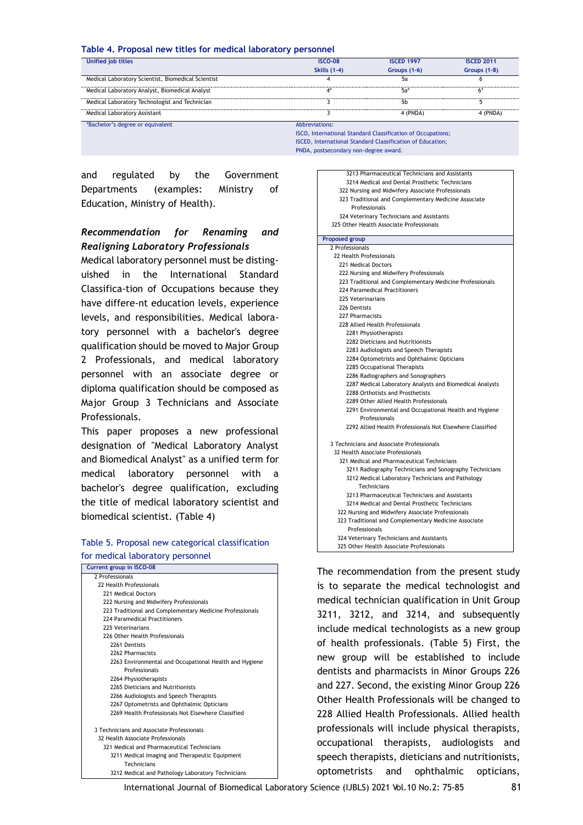#### **Table 4. Proposal new titles for medical laboratory personnel**

| Unified job titles                                 | <b>ISCO-08</b>      | <b>ISCED 1997</b>                                                  | <b>ISCED 2011</b> |
|----------------------------------------------------|---------------------|--------------------------------------------------------------------|-------------------|
|                                                    | <b>Skills (1-4)</b> | Groups $(1-6)$                                                     | Groups (1-8)      |
| Medical Laboratory Scientist, Biomedical Scientist |                     | 5а                                                                 |                   |
| Medical Laboratory Analyst, Biomedical Analyst     | $4^*$               | 5a*                                                                | 6*                |
| Medical Laboratory Technologist and Technician     |                     | 5b                                                                 |                   |
| Medical Laboratory Assistant                       |                     | 4 (PNDA)                                                           | 4 (PNDA)          |
| *Bachelor's degree or equivalent                   | Abbreviations:      |                                                                    |                   |
|                                                    |                     | <b>ISCO.</b> International Standard Classification of Occupations: |                   |

ISCED, International Standard Classification of Education;

PNDA, postsecondary non-degree award.

and regulated by the Government Departments (examples: Ministry of Education, Ministry of Health).

#### *Recommendation for Renaming and Realigning Laboratory Professionals*

Medical laboratory personnel must be distinguished in the International Standard Classifica-tion of Occupations because they have differe-nt education levels, experience levels, and responsibilities. Medical laboratory personnel with a bachelor's degree qualification should be moved to Major Group 2 Professionals, and medical laboratory personnel with an associate degree or diploma qualification should be composed as Major Group 3 Technicians and Associate Professionals.

This paper proposes a new professional designation of "Medical Laboratory Analyst and Biomedical Analyst" as a unified term for medical laboratory personnel with a bachelor's degree qualification, excluding the title of medical laboratory scientist and biomedical scientist. (Table 4)

#### Table 5. Proposal new categorical classification for medical laboratory personnel

| <b>Current group in ISCO-08</b>                          |
|----------------------------------------------------------|
| 2 Professionals                                          |
| 22 Health Professionals                                  |
| 221 Medical Doctors                                      |
| 222 Nursing and Midwifery Professionals                  |
| 223 Traditional and Complementary Medicine Professionals |
| 224 Paramedical Practitioners                            |
| 225 Veterinarians                                        |
| 226 Other Health Professionals                           |
| 2261 Dentists                                            |
| 2262 Pharmacists                                         |
| 2263 Environmental and Occupational Health and Hygiene   |
| Professionals                                            |
| 2264 Physiotherapists                                    |
| 2265 Dieticians and Nutritionists                        |
| 2266 Audiologists and Speech Therapists                  |
| 2267 Optometrists and Ophthalmic Opticians               |
| 2269 Health Professionals Not Elsewhere Classified       |
|                                                          |
| 3 Technicians and Associate Professionals                |
| 32 Health Associate Professionals                        |
| 321 Medical and Pharmaceutical Technicians               |
| 3211 Medical Imaging and Therapeutic Equipment           |
| Technicians                                              |
| 3212 Medical and Pathology Laboratory Technicians        |

| 3213 Pharmaceutical Technicians and Assistants            |
|-----------------------------------------------------------|
| 3214 Medical and Dental Prosthetic Technicians            |
| 322 Nursing and Midwifery Associate Professionals         |
| 323 Traditional and Complementary Medicine Associate      |
| Professionals                                             |
| 324 Veterinary Technicians and Assistants                 |
| 325 Other Health Associate Professionals                  |
| <b>Proposed group</b>                                     |
| 2 Professionals                                           |
| 22 Health Professionals                                   |
| 221 Medical Doctors                                       |
| 222 Nursing and Midwifery Professionals                   |
| 223 Traditional and Complementary Medicine Professionals  |
| 224 Paramedical Practitioners                             |
| 225 Veterinarians                                         |
| 226 Dentists                                              |
| 227 Pharmacists                                           |
| 228 Allied Health Professionals                           |
| 2281 Physiotherapists                                     |
| 2282 Dieticians and Nutritionists                         |
| 2283 Audiologists and Speech Therapists                   |
| 2284 Optometrists and Ophthalmic Opticians                |
| 2285 Occupational Therapists                              |
| 2286 Radiographers and Sonographers                       |
| 2287 Medical Laboratory Analysts and Biomedical Analysts  |
| 2288 Orthotists and Prosthetists                          |
| 2289 Other Allied Health Professionals                    |
| 2291 Environmental and Occupational Health and Hygiene    |
| Professionals                                             |
| 2292 Allied Health Professionals Not Elsewhere Classified |
|                                                           |
| 3 Technicians and Associate Professionals                 |
| 32 Health Associate Professionals                         |
| 321 Medical and Pharmaceutical Technicians                |
| 3211 Radiography Technicians and Sonography Technicians   |
| 3212 Medical Laboratory Technicians and Pathology         |
| Technicians                                               |
| 3213 Pharmaceutical Technicians and Assistants            |
| 3214 Medical and Dental Prosthetic Technicians            |
| 322 Nursing and Midwifery Associate Professionals         |
| 323 Traditional and Complementary Medicine Associate      |
| Professionals                                             |
| 324 Veterinary Technicians and Assistants                 |
| 325 Other Health Associate Professionals                  |
|                                                           |

The recommendation from the present study is to separate the medical technologist and medical technician qualification in Unit Group 3211, 3212, and 3214, and subsequently include medical technologists as a new group of health professionals. (Table 5) First, the new group will be established to include dentists and pharmacists in Minor Groups 226 and 227. Second, the existing Minor Group 226 Other Health Professionals will be changed to 228 Allied Health Professionals. Allied health professionals will include physical therapists, occupational therapists, audiologists and speech therapists, dieticians and nutritionists, optometrists and ophthalmic opticians,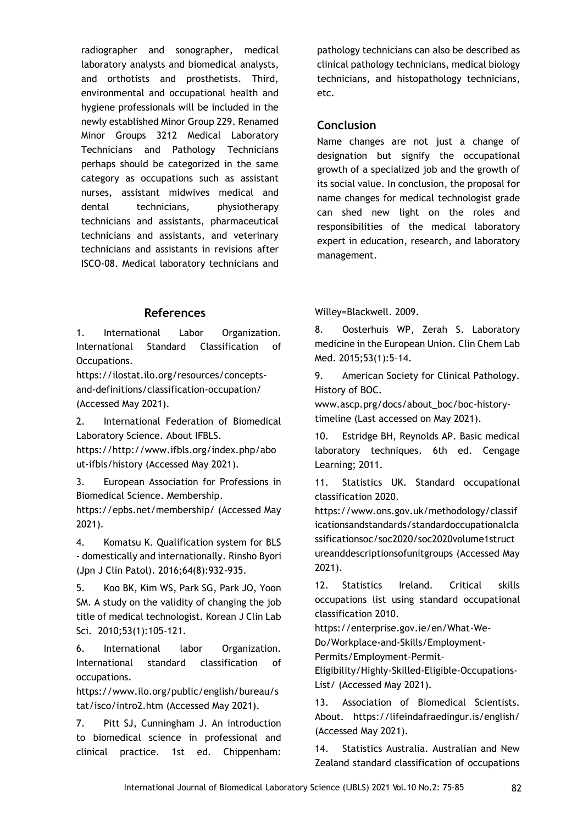radiographer and sonographer, medical laboratory analysts and biomedical analysts, and orthotists and prosthetists. Third, environmental and occupational health and hygiene professionals will be included in the newly established Minor Group 229. Renamed Minor Groups 3212 Medical Laboratory Technicians and Pathology Technicians perhaps should be categorized in the same category as occupations such as assistant nurses, assistant midwives medical and dental technicians, physiotherapy technicians and assistants, pharmaceutical technicians and assistants, and veterinary technicians and assistants in revisions after ISCO-08. Medical laboratory technicians and

# **References**

1. International Labor Organization. International Standard Classification of Occupations.

https://ilostat.ilo.org/resources/conceptsand-definitions/classification-occupation/ (Accessed May 2021).

2. International Federation of Biomedical Laboratory Science. About IFBLS.

https://http://www.ifbls.org/index.php/abo ut-ifbls/history (Accessed May 2021).

3. European Association for Professions in Biomedical Science. Membership. https://epbs.net/membership/ (Accessed May 2021).

4. Komatsu K. Qualification system for BLS - domestically and internationally. Rinsho Byori (Jpn J Clin Patol). 2016;64(8):932-935.

5. Koo BK, Kim WS, Park SG, Park JO, Yoon SM. A study on the validity of changing the job title of medical technologist. Korean J Clin Lab Sci. 2010;53(1):105-121.

6. International labor Organization. International standard classification of occupations.

https://www.ilo.org/public/english/bureau/s tat/isco/intro2.htm (Accessed May 2021).

7. Pitt SJ, Cunningham J. An introduction to biomedical science in professional and clinical practice. 1st ed. Chippenham:

pathology technicians can also be described as clinical pathology technicians, medical biology technicians, and histopathology technicians, etc.

## **Conclusion**

Name changes are not just a change of designation but signify the occupational growth of a specialized job and the growth of its social value. In conclusion, the proposal for name changes for medical technologist grade can shed new light on the roles and responsibilities of the medical laboratory expert in education, research, and laboratory management.

Willey=Blackwell. 2009.

8. Oosterhuis WP, Zerah S. Laboratory medicine in the European Union. Clin Chem Lab Med. 2015;53(1):5–14.

9. American Society for Clinical Pathology. History of BOC.

www.ascp.prg/docs/about\_boc/boc-historytimeline (Last accessed on May 2021).

10. Estridge BH, Reynolds AP. Basic medical laboratory techniques. 6th ed. Cengage Learning; 2011.

11. Statistics UK. Standard occupational classification 2020.

https://www.ons.gov.uk/methodology/classif icationsandstandards/standardoccupationalcla ssificationsoc/soc2020/soc2020volume1struct ureanddescriptionsofunitgroups (Accessed May 2021).

12. Statistics Ireland. Critical skills occupations list using standard occupational classification 2010.

https://enterprise.gov.ie/en/What-We-

Do/Workplace-and-Skills/Employment-

Permits/Employment-Permit-

Eligibility/Highly-Skilled-Eligible-Occupations-List/ (Accessed May 2021).

13. Association of Biomedical Scientists. About. https://lifeindafraedingur.is/english/ (Accessed May 2021).

14. Statistics Australia. Australian and New Zealand standard classification of occupations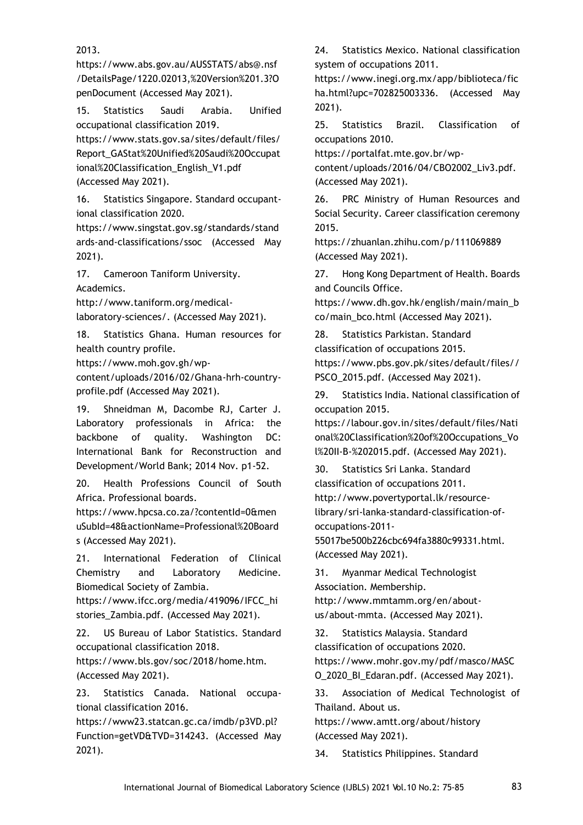2013.

https://www.abs.gov.au/AUSSTATS/abs@.nsf /DetailsPage/1220.02013,%20Version%201.3?O penDocument (Accessed May 2021).

15. Statistics Saudi Arabia. Unified occupational classification 2019.

https://www.stats.gov.sa/sites/default/files/ Report\_GAStat%20Unified%20Saudi%20Occupat ional%20Classification\_English\_V1.pdf (Accessed May 2021).

16. Statistics Singapore. Standard occupantional classification 2020.

https://www.singstat.gov.sg/standards/stand ards-and-classifications/ssoc (Accessed May 2021).

17. Cameroon Taniform University. Academics.

http://www.taniform.org/medical-

laboratory-sciences/. (Accessed May 2021).

18. Statistics Ghana. Human resources for health country profile.

https://www.moh.gov.gh/wp-

content/uploads/2016/02/Ghana-hrh-countryprofile.pdf (Accessed May 2021).

19. Shneidman M, Dacombe RJ, Carter J. Laboratory professionals in Africa: the backbone of quality. Washington DC: International Bank for Reconstruction and Development/World Bank; 2014 Nov. p1-52.

20. Health Professions Council of South Africa. Professional boards.

https://www.hpcsa.co.za/?contentId=0&men uSubId=48&actionName=Professional%20Board s (Accessed May 2021).

21. International Federation of Clinical Chemistry and Laboratory Medicine. Biomedical Society of Zambia.

https://www.ifcc.org/media/419096/IFCC\_hi stories\_Zambia.pdf. (Accessed May 2021).

22. US Bureau of Labor Statistics. Standard occupational classification 2018.

https://www.bls.gov/soc/2018/home.htm. (Accessed May 2021).

23. Statistics Canada. National occupational classification 2016.

https://www23.statcan.gc.ca/imdb/p3VD.pl? Function=getVD&TVD=314243. (Accessed May 2021).

24. Statistics Mexico. National classification system of occupations 2011.

https://www.inegi.org.mx/app/biblioteca/fic ha.html?upc=702825003336. (Accessed May 2021).

25. Statistics Brazil. Classification of occupations 2010.

https://portalfat.mte.gov.br/wpcontent/uploads/2016/04/CBO2002\_Liv3.pdf. (Accessed May 2021).

26. PRC Ministry of Human Resources and Social Security. Career classification ceremony 2015.

https://zhuanlan.zhihu.com/p/111069889 (Accessed May 2021).

27. Hong Kong Department of Health. Boards and Councils Office.

https://www.dh.gov.hk/english/main/main\_b co/main\_bco.html (Accessed May 2021).

28. Statistics Parkistan. Standard classification of occupations 2015. https://www.pbs.gov.pk/sites/default/files// PSCO\_2015.pdf. (Accessed May 2021).

29. Statistics India. National classification of occupation 2015.

https://labour.gov.in/sites/default/files/Nati onal%20Classification%20of%20Occupations\_Vo l%20II-B-%202015.pdf. (Accessed May 2021).

30. Statistics Sri Lanka. Standard classification of occupations 2011. http://www.povertyportal.lk/resourcelibrary/sri-lanka-standard-classification-ofoccupations-2011-

55017be500b226cbc694fa3880c99331.html. (Accessed May 2021).

31. Myanmar Medical Technologist Association. Membership.

http://www.mmtamm.org/en/aboutus/about-mmta. (Accessed May 2021).

32. Statistics Malaysia. Standard classification of occupations 2020. https://www.mohr.gov.my/pdf/masco/MASC O\_2020\_BI\_Edaran.pdf. (Accessed May 2021).

33. Association of Medical Technologist of Thailand. About us.

https://www.amtt.org/about/history (Accessed May 2021).

34. Statistics Philippines. Standard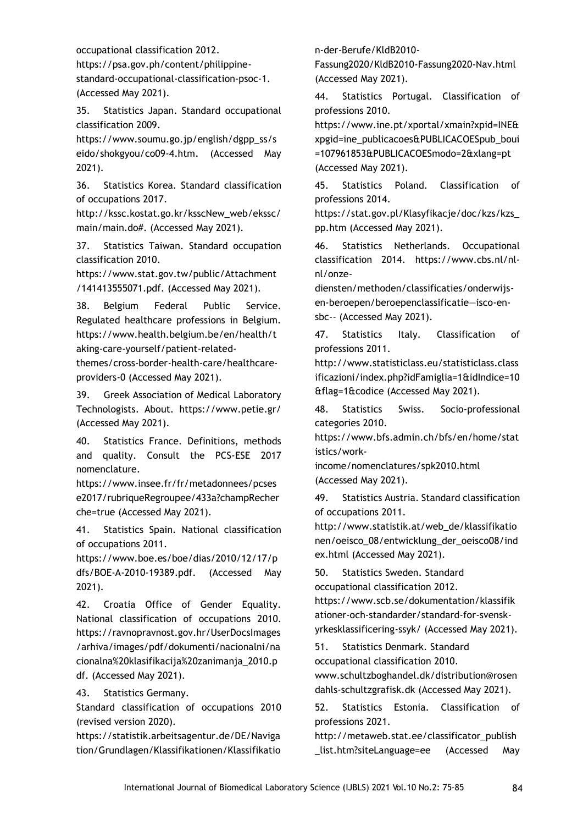occupational classification 2012.

https://psa.gov.ph/content/philippinestandard-occupational-classification-psoc-1. (Accessed May 2021).

35. Statistics Japan. Standard occupational classification 2009.

https://www.soumu.go.jp/english/dgpp\_ss/s eido/shokgyou/co09-4.htm. (Accessed May 2021).

36. Statistics Korea. Standard classification of occupations 2017.

http://kssc.kostat.go.kr/ksscNew\_web/ekssc/ main/main.do#. (Accessed May 2021).

37. Statistics Taiwan. Standard occupation classification 2010.

https://www.stat.gov.tw/public/Attachment /141413555071.pdf. (Accessed May 2021).

38. Belgium Federal Public Service. Regulated healthcare professions in Belgium. https://www.health.belgium.be/en/health/t aking-care-yourself/patient-related-

themes/cross-border-health-care/healthcareproviders-0 (Accessed May 2021).

39. Greek Association of Medical Laboratory Technologists. About. https://www.petie.gr/ (Accessed May 2021).

40. Statistics France. Definitions, methods and quality. Consult the PCS-ESE 2017 nomenclature.

https://www.insee.fr/fr/metadonnees/pcses e2017/rubriqueRegroupee/433a?champRecher che=true (Accessed May 2021).

41. Statistics Spain. National classification of occupations 2011.

https://www.boe.es/boe/dias/2010/12/17/p dfs/BOE-A-2010-19389.pdf. (Accessed May 2021).

42. Croatia Office of Gender Equality. National classification of occupations 2010. https://ravnopravnost.gov.hr/UserDocsImages /arhiva/images/pdf/dokumenti/nacionalni/na cionalna%20klasifikacija%20zanimanja\_2010.p df. (Accessed May 2021).

43. Statistics Germany.

Standard classification of occupations 2010 (revised version 2020).

https://statistik.arbeitsagentur.de/DE/Naviga tion/Grundlagen/Klassifikationen/Klassifikatio

n-der-Berufe/KldB2010-

Fassung2020/KldB2010-Fassung2020-Nav.html (Accessed May 2021).

44. Statistics Portugal. Classification of professions 2010.

https://www.ine.pt/xportal/xmain?xpid=INE& xpgid=ine\_publicacoes&PUBLICACOESpub\_boui =107961853&PUBLICACOESmodo=2&xlang=pt (Accessed May 2021).

45. Statistics Poland. Classification of professions 2014.

https://stat.gov.pl/Klasyfikacje/doc/kzs/kzs\_ pp.htm (Accessed May 2021).

46. Statistics Netherlands. Occupational classification 2014. https://www.cbs.nl/nlnl/onze-

diensten/methoden/classificaties/onderwijsen-beroepen/beroepenclassificatie—isco-ensbc-- (Accessed May 2021).

47. Statistics Italy. Classification of professions 2011.

http://www.statisticlass.eu/statisticlass.class ificazioni/index.php?idFamiglia=1&idIndice=10 &flag=1&codice (Accessed May 2021).

48. Statistics Swiss. Socio-professional categories 2010.

https://www.bfs.admin.ch/bfs/en/home/stat istics/work-

income/nomenclatures/spk2010.html (Accessed May 2021).

49. Statistics Austria. Standard classification of occupations 2011.

http://www.statistik.at/web\_de/klassifikatio nen/oeisco\_08/entwicklung\_der\_oeisco08/ind ex.html (Accessed May 2021).

50. Statistics Sweden. Standard occupational classification 2012.

https://www.scb.se/dokumentation/klassifik ationer-och-standarder/standard-for-svenskyrkesklassificering-ssyk/ (Accessed May 2021).

51. Statistics Denmark. Standard occupational classification 2010.

www.schultzboghandel.dk/distribution@rosen dahls-schultzgrafisk.dk (Accessed May 2021).

52. Statistics Estonia. Classification of professions 2021.

http://metaweb.stat.ee/classificator\_publish \_list.htm?siteLanguage=ee (Accessed May